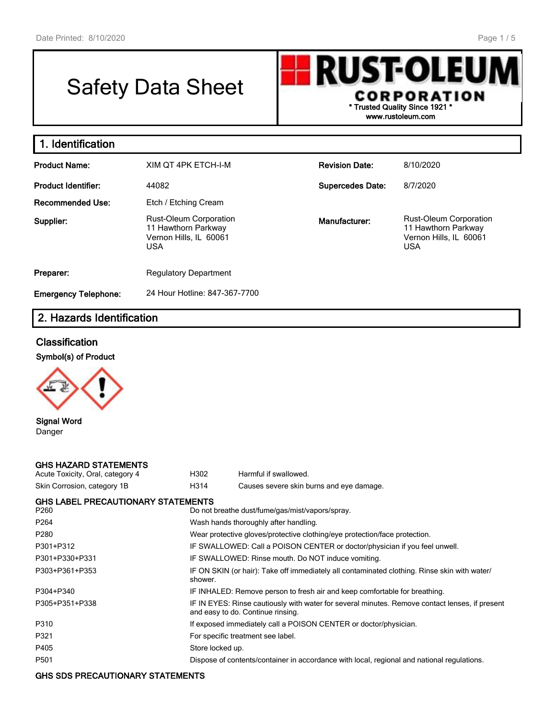# Safety Data Sheet

**RUST-OLEUN** CORPORATION **\* Trusted Quality Since 1921 \* www.rustoleum.com**

# **1. Identification**

| <b>Product Name:</b>         | XIM OT 4PK ETCH-I-M                                                                          | <b>Revision Date:</b>   | 8/10/2020                                                                                    |  |
|------------------------------|----------------------------------------------------------------------------------------------|-------------------------|----------------------------------------------------------------------------------------------|--|
| Product Identifier:<br>44082 |                                                                                              | <b>Supercedes Date:</b> | 8/7/2020                                                                                     |  |
| Recommended Use:             | Etch / Etching Cream                                                                         |                         |                                                                                              |  |
| Supplier:                    | <b>Rust-Oleum Corporation</b><br>11 Hawthorn Parkway<br>Vernon Hills, IL 60061<br><b>USA</b> | Manufacturer:           | <b>Rust-Oleum Corporation</b><br>11 Hawthorn Parkway<br>Vernon Hills, IL 60061<br><b>USA</b> |  |
| Preparer:                    | <b>Regulatory Department</b>                                                                 |                         |                                                                                              |  |
| <b>Emergency Telephone:</b>  | 24 Hour Hotline: 847-367-7700                                                                |                         |                                                                                              |  |

# **2. Hazards Identification**

## **Classification**

**Symbol(s) of Product**



**Signal Word** Danger

#### **GHS HAZARD STATEMENTS**

| Acute Toxicity, Oral, category 4   | H302             | Harmful if swallowed.                                                                                                               |
|------------------------------------|------------------|-------------------------------------------------------------------------------------------------------------------------------------|
| Skin Corrosion, category 1B        | H314             | Causes severe skin burns and eye damage.                                                                                            |
| GHS LABEL PRECAUTIONARY STATEMENTS |                  |                                                                                                                                     |
| P260                               |                  | Do not breathe dust/fume/gas/mist/vapors/spray.                                                                                     |
| P264                               |                  | Wash hands thoroughly after handling.                                                                                               |
| P280                               |                  | Wear protective gloves/protective clothing/eye protection/face protection.                                                          |
| P301+P312                          |                  | IF SWALLOWED: Call a POISON CENTER or doctor/physician if you feel unwell.                                                          |
| P301+P330+P331                     |                  | IF SWALLOWED: Rinse mouth. Do NOT induce vomiting.                                                                                  |
| P303+P361+P353                     | shower.          | IF ON SKIN (or hair): Take off immediately all contaminated clothing. Rinse skin with water/                                        |
| P304+P340                          |                  | IF INHALED: Remove person to fresh air and keep comfortable for breathing.                                                          |
| P305+P351+P338                     |                  | IF IN EYES: Rinse cautiously with water for several minutes. Remove contact lenses, if present<br>and easy to do. Continue rinsing. |
| P310                               |                  | If exposed immediately call a POISON CENTER or doctor/physician.                                                                    |
| P321                               |                  | For specific treatment see label.                                                                                                   |
| P405                               | Store locked up. |                                                                                                                                     |
| P501                               |                  | Dispose of contents/container in accordance with local, regional and national regulations.                                          |

### **GHS SDS PRECAUTIONARY STATEMENTS**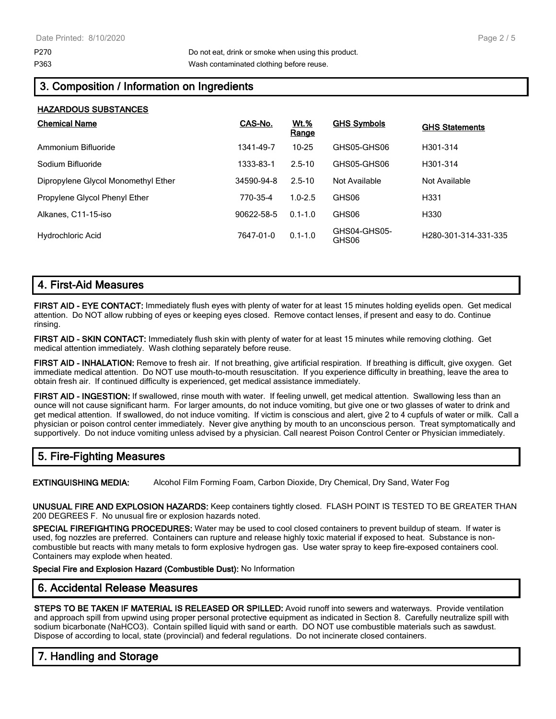**HAZARDOUS SUBSTANCES**

# **3. Composition / Information on Ingredients**

| HALARDUUƏ ƏUDƏTANUEƏ                |            |                      |                       |                       |
|-------------------------------------|------------|----------------------|-----------------------|-----------------------|
| <b>Chemical Name</b>                | CAS-No.    | <u>Wt.%</u><br>Range | <b>GHS Symbols</b>    | <b>GHS Statements</b> |
| Ammonium Bifluoride                 | 1341-49-7  | $10 - 25$            | GHS05-GHS06           | H301-314              |
| Sodium Bifluoride                   | 1333-83-1  | $2.5 - 10$           | GHS05-GHS06           | H301-314              |
| Dipropylene Glycol Monomethyl Ether | 34590-94-8 | $2.5 - 10$           | Not Available         | Not Available         |
| Propylene Glycol Phenyl Ether       | 770-35-4   | $1.0 - 2.5$          | GHS06                 | H331                  |
| Alkanes, C11-15-iso                 | 90622-58-5 | $0.1 - 1.0$          | GHS06                 | H330                  |
| Hydrochloric Acid                   | 7647-01-0  | $0.1 - 1.0$          | GHS04-GHS05-<br>GHS06 | H280-301-314-331-335  |

## **4. First-Aid Measures**

**FIRST AID - EYE CONTACT:** Immediately flush eyes with plenty of water for at least 15 minutes holding eyelids open. Get medical attention. Do NOT allow rubbing of eyes or keeping eyes closed. Remove contact lenses, if present and easy to do. Continue rinsing.

**FIRST AID - SKIN CONTACT:** Immediately flush skin with plenty of water for at least 15 minutes while removing clothing. Get medical attention immediately. Wash clothing separately before reuse.

**FIRST AID - INHALATION:** Remove to fresh air. If not breathing, give artificial respiration. If breathing is difficult, give oxygen. Get immediate medical attention. Do NOT use mouth-to-mouth resuscitation. If you experience difficulty in breathing, leave the area to obtain fresh air. If continued difficulty is experienced, get medical assistance immediately.

**FIRST AID - INGESTION:** If swallowed, rinse mouth with water. If feeling unwell, get medical attention. Swallowing less than an ounce will not cause significant harm. For larger amounts, do not induce vomiting, but give one or two glasses of water to drink and get medical attention. If swallowed, do not induce vomiting. If victim is conscious and alert, give 2 to 4 cupfuls of water or milk. Call a physician or poison control center immediately. Never give anything by mouth to an unconscious person. Treat symptomatically and supportively. Do not induce vomiting unless advised by a physician. Call nearest Poison Control Center or Physician immediately.

# **5. Fire-Fighting Measures**

**EXTINGUISHING MEDIA:** Alcohol Film Forming Foam, Carbon Dioxide, Dry Chemical, Dry Sand, Water Fog

**UNUSUAL FIRE AND EXPLOSION HAZARDS:** Keep containers tightly closed. FLASH POINT IS TESTED TO BE GREATER THAN 200 DEGREES F. No unusual fire or explosion hazards noted.

**SPECIAL FIREFIGHTING PROCEDURES:** Water may be used to cool closed containers to prevent buildup of steam. If water is used, fog nozzles are preferred. Containers can rupture and release highly toxic material if exposed to heat. Substance is noncombustible but reacts with many metals to form explosive hydrogen gas. Use water spray to keep fire-exposed containers cool. Containers may explode when heated.

**Special Fire and Explosion Hazard (Combustible Dust):** No Information

## **6. Accidental Release Measures**

**STEPS TO BE TAKEN IF MATERIAL IS RELEASED OR SPILLED:** Avoid runoff into sewers and waterways. Provide ventilation and approach spill from upwind using proper personal protective equipment as indicated in Section 8. Carefully neutralize spill with sodium bicarbonate (NaHCO3). Contain spilled liquid with sand or earth. DO NOT use combustible materials such as sawdust. Dispose of according to local, state (provincial) and federal regulations. Do not incinerate closed containers.

# **7. Handling and Storage**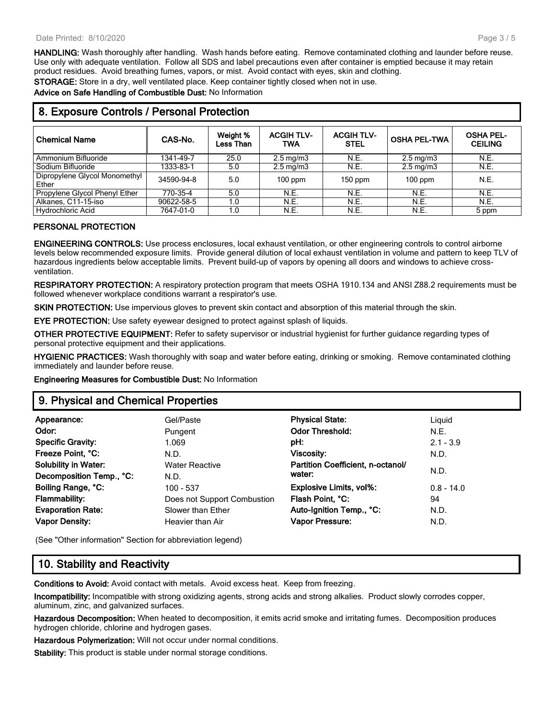**HANDLING:** Wash thoroughly after handling. Wash hands before eating. Remove contaminated clothing and launder before reuse. Use only with adequate ventilation. Follow all SDS and label precautions even after container is emptied because it may retain product residues. Avoid breathing fumes, vapors, or mist. Avoid contact with eyes, skin and clothing.

**STORAGE:** Store in a dry, well ventilated place. Keep container tightly closed when not in use.

**Advice on Safe Handling of Combustible Dust:** No Information

| <b>Chemical Name</b>                   | CAS-No.    | Weight %<br>Less Than | <b>ACGIH TLV-</b><br>TWA | <b>ACGIH TLV-</b><br><b>STEL</b> | <b>OSHA PEL-TWA</b> | <b>OSHA PEL-</b><br><b>CEILING</b> |
|----------------------------------------|------------|-----------------------|--------------------------|----------------------------------|---------------------|------------------------------------|
| Ammonium Bifluoride                    | 1341-49-7  | 25.0                  | $2.5 \text{ mg/m}$       | N.E.                             | $2.5 \text{ mg/m}$  | N.E.                               |
| Sodium Bifluoride                      | 1333-83-1  | 5.0                   | $2.5 \text{ mg/m}$       | N.E.                             | $2.5 \text{ mg/m}$  | N.E.                               |
| Dipropylene Glycol Monomethyl<br>Ether | 34590-94-8 | 5.0                   | $100$ ppm                | $150$ ppm                        | $100$ ppm           | N.E.                               |
| Propylene Glycol Phenyl Ether          | 770-35-4   | 5.0                   | N.E.                     | N.E.                             | N.E.                | N.E.                               |
| Alkanes, C11-15-iso                    | 90622-58-5 | 1.0                   | N.E.                     | N.E.                             | N.E.                | N.E.                               |
| <b>Hydrochloric Acid</b>               | 7647-01-0  | 1.0                   | N.E.                     | N.E.                             | N.E.                | 5 ppm                              |

# **8. Exposure Controls / Personal Protection**

### **PERSONAL PROTECTION**

**ENGINEERING CONTROLS:** Use process enclosures, local exhaust ventilation, or other engineering controls to control airborne levels below recommended exposure limits. Provide general dilution of local exhaust ventilation in volume and pattern to keep TLV of hazardous ingredients below acceptable limits. Prevent build-up of vapors by opening all doors and windows to achieve crossventilation.

**RESPIRATORY PROTECTION:** A respiratory protection program that meets OSHA 1910.134 and ANSI Z88.2 requirements must be followed whenever workplace conditions warrant a respirator's use.

**SKIN PROTECTION:** Use impervious gloves to prevent skin contact and absorption of this material through the skin.

**EYE PROTECTION:** Use safety eyewear designed to protect against splash of liquids.

**OTHER PROTECTIVE EQUIPMENT:** Refer to safety supervisor or industrial hygienist for further guidance regarding types of personal protective equipment and their applications.

**HYGIENIC PRACTICES:** Wash thoroughly with soap and water before eating, drinking or smoking. Remove contaminated clothing immediately and launder before reuse.

**Engineering Measures for Combustible Dust:** No Information

## **9. Physical and Chemical Properties**

| Appearance:                 | Gel/Paste                   | <b>Physical State:</b>            | Liguid       |
|-----------------------------|-----------------------------|-----------------------------------|--------------|
| Odor:                       | Pungent                     | <b>Odor Threshold:</b>            | N.E.         |
| <b>Specific Gravity:</b>    | 1.069                       | pH:                               | $2.1 - 3.9$  |
| Freeze Point, °C:           | N.D.                        | <b>Viscosity:</b>                 | N.D.         |
| <b>Solubility in Water:</b> | <b>Water Reactive</b>       | Partition Coefficient, n-octanol/ |              |
| Decomposition Temp., °C:    | N.D.                        | water:                            | N.D.         |
| Boiling Range, °C:          | 100 - 537                   | <b>Explosive Limits, vol%:</b>    | $0.8 - 14.0$ |
| <b>Flammability:</b>        | Does not Support Combustion | Flash Point, °C:                  | 94           |
| <b>Evaporation Rate:</b>    | Slower than Ether           | Auto-Ignition Temp., °C:          | N.D.         |
| <b>Vapor Density:</b>       | Heavier than Air            | Vapor Pressure:                   | N.D.         |
|                             |                             |                                   |              |

(See "Other information" Section for abbreviation legend)

## **10. Stability and Reactivity**

**Conditions to Avoid:** Avoid contact with metals. Avoid excess heat. Keep from freezing.

**Incompatibility:** Incompatible with strong oxidizing agents, strong acids and strong alkalies. Product slowly corrodes copper, aluminum, zinc, and galvanized surfaces.

**Hazardous Decomposition:** When heated to decomposition, it emits acrid smoke and irritating fumes. Decomposition produces hydrogen chloride, chlorine and hydrogen gases.

**Hazardous Polymerization:** Will not occur under normal conditions.

**Stability:** This product is stable under normal storage conditions.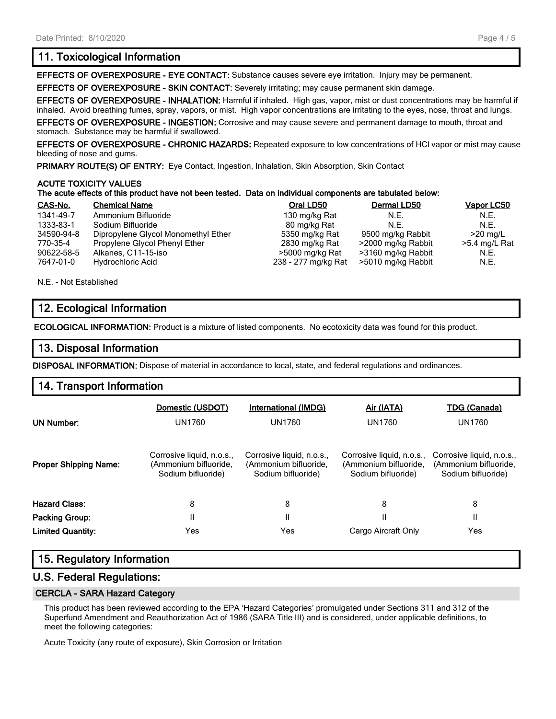## **11. Toxicological Information**

**EFFECTS OF OVEREXPOSURE - EYE CONTACT:** Substance causes severe eye irritation. Injury may be permanent.

**EFFECTS OF OVEREXPOSURE - SKIN CONTACT:** Severely irritating; may cause permanent skin damage.

**EFFECTS OF OVEREXPOSURE - INHALATION:** Harmful if inhaled. High gas, vapor, mist or dust concentrations may be harmful if inhaled. Avoid breathing fumes, spray, vapors, or mist. High vapor concentrations are irritating to the eyes, nose, throat and lungs.

**EFFECTS OF OVEREXPOSURE - INGESTION:** Corrosive and may cause severe and permanent damage to mouth, throat and stomach. Substance may be harmful if swallowed.

**EFFECTS OF OVEREXPOSURE - CHRONIC HAZARDS:** Repeated exposure to low concentrations of HCl vapor or mist may cause bleeding of nose and gums.

**PRIMARY ROUTE(S) OF ENTRY:** Eye Contact, Ingestion, Inhalation, Skin Absorption, Skin Contact

#### **ACUTE TOXICITY VALUES**

#### **The acute effects of this product have not been tested. Data on individual components are tabulated below:**

| CAS-No.    | <b>Chemical Name</b>                | Oral LD50           | Dermal LD50        | Vapor LC50      |
|------------|-------------------------------------|---------------------|--------------------|-----------------|
| 1341-49-7  | Ammonium Bifluoride                 | 130 mg/kg Rat       | N.E.               | N.E.            |
| 1333-83-1  | Sodium Bifluoride                   | 80 mg/kg Rat        | N.E.               | N.F.            |
| 34590-94-8 | Dipropylene Glycol Monomethyl Ether | 5350 mg/kg Rat      | 9500 mg/kg Rabbit  | $>20$ mg/L      |
| 770-35-4   | Propylene Glycol Phenyl Ether       | 2830 mg/kg Rat      | >2000 mg/kg Rabbit | $>5.4$ mg/L Rat |
| 90622-58-5 | Alkanes, C11-15-iso                 | >5000 mg/kg Rat     | >3160 mg/kg Rabbit | N.E.            |
| 7647-01-0  | <b>Hydrochloric Acid</b>            | 238 - 277 mg/kg Rat | >5010 mg/kg Rabbit | N.E.            |

N.E. - Not Established

## **12. Ecological Information**

**ECOLOGICAL INFORMATION:** Product is a mixture of listed components. No ecotoxicity data was found for this product.

## **13. Disposal Information**

**DISPOSAL INFORMATION:** Dispose of material in accordance to local, state, and federal regulations and ordinances.

## **14. Transport Information**

| UN Number:                   | Domestic (USDOT)<br>UN1760                                               | International (IMDG)<br>UN1760                                           | <u>Air (IATA)</u><br>UN1760                                              | TDG (Canada)<br>UN1760                                                   |
|------------------------------|--------------------------------------------------------------------------|--------------------------------------------------------------------------|--------------------------------------------------------------------------|--------------------------------------------------------------------------|
| <b>Proper Shipping Name:</b> | Corrosive liquid, n.o.s.,<br>(Ammonium bifluoride,<br>Sodium bifluoride) | Corrosive liquid, n.o.s.,<br>(Ammonium bifluoride,<br>Sodium bifluoride) | Corrosive liquid, n.o.s.,<br>(Ammonium bifluoride,<br>Sodium bifluoride) | Corrosive liquid, n.o.s.,<br>(Ammonium bifluoride,<br>Sodium bifluoride) |
| <b>Hazard Class:</b>         | 8                                                                        | 8                                                                        | 8                                                                        | 8                                                                        |
| <b>Packing Group:</b>        | н                                                                        | Ш                                                                        | Н                                                                        | П                                                                        |
| <b>Limited Quantity:</b>     | Yes                                                                      | Yes                                                                      | Cargo Aircraft Only                                                      | Yes                                                                      |

## **15. Regulatory Information**

### **U.S. Federal Regulations:**

#### **CERCLA - SARA Hazard Category**

This product has been reviewed according to the EPA 'Hazard Categories' promulgated under Sections 311 and 312 of the Superfund Amendment and Reauthorization Act of 1986 (SARA Title III) and is considered, under applicable definitions, to meet the following categories:

Acute Toxicity (any route of exposure), Skin Corrosion or Irritation